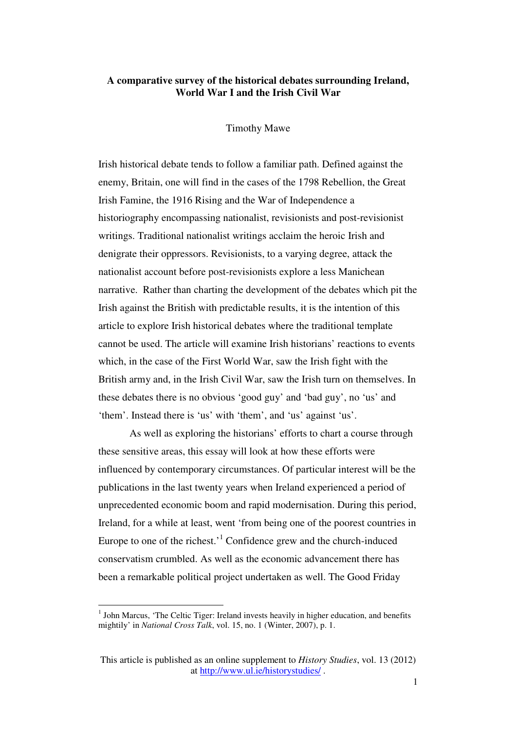## **A comparative survey of the historical debates surrounding Ireland, World War I and the Irish Civil War**

## Timothy Mawe

Irish historical debate tends to follow a familiar path. Defined against the enemy, Britain, one will find in the cases of the 1798 Rebellion, the Great Irish Famine, the 1916 Rising and the War of Independence a historiography encompassing nationalist, revisionists and post-revisionist writings. Traditional nationalist writings acclaim the heroic Irish and denigrate their oppressors. Revisionists, to a varying degree, attack the nationalist account before post-revisionists explore a less Manichean narrative. Rather than charting the development of the debates which pit the Irish against the British with predictable results, it is the intention of this article to explore Irish historical debates where the traditional template cannot be used. The article will examine Irish historians' reactions to events which, in the case of the First World War, saw the Irish fight with the British army and, in the Irish Civil War, saw the Irish turn on themselves. In these debates there is no obvious 'good guy' and 'bad guy', no 'us' and 'them'. Instead there is 'us' with 'them', and 'us' against 'us'.

 As well as exploring the historians' efforts to chart a course through these sensitive areas, this essay will look at how these efforts were influenced by contemporary circumstances. Of particular interest will be the publications in the last twenty years when Ireland experienced a period of unprecedented economic boom and rapid modernisation. During this period, Ireland, for a while at least, went 'from being one of the poorest countries in Europe to one of the richest.<sup>1</sup> Confidence grew and the church-induced conservatism crumbled. As well as the economic advancement there has been a remarkable political project undertaken as well. The Good Friday

 $<sup>1</sup>$  John Marcus, 'The Celtic Tiger: Ireland invests heavily in higher education, and benefits</sup> mightily' in *National Cross Talk*, vol. 15, no. 1 (Winter, 2007), p. 1.

This article is published as an online supplement to *History Studies*, vol. 13 (2012) at http://www.ul.ie/historystudies/ .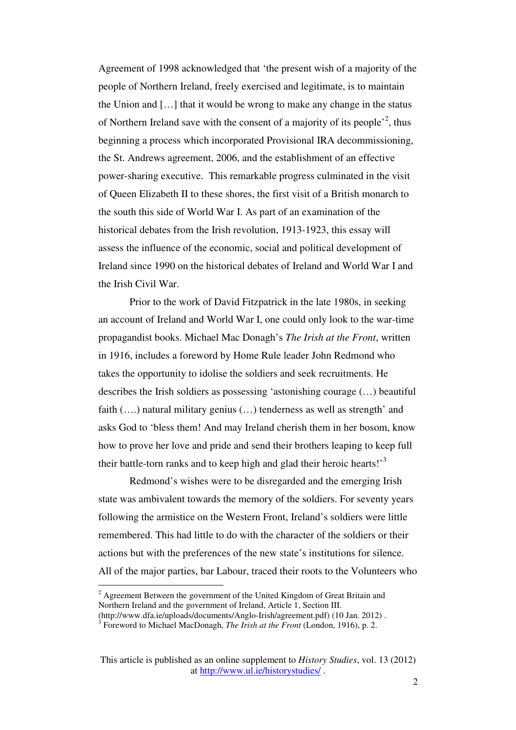Agreement of 1998 acknowledged that 'the present wish of a majority of the people of Northern Ireland, freely exercised and legitimate, is to maintain the Union and […] that it would be wrong to make any change in the status of Northern Ireland save with the consent of a majority of its people<sup> $2$ </sup>, thus beginning a process which incorporated Provisional IRA decommissioning, the St. Andrews agreement, 2006, and the establishment of an effective power-sharing executive. This remarkable progress culminated in the visit of Queen Elizabeth II to these shores, the first visit of a British monarch to the south this side of World War I. As part of an examination of the historical debates from the Irish revolution, 1913-1923, this essay will assess the influence of the economic, social and political development of Ireland since 1990 on the historical debates of Ireland and World War I and the Irish Civil War.

 Prior to the work of David Fitzpatrick in the late 1980s, in seeking an account of Ireland and World War I, one could only look to the war-time propagandist books. Michael Mac Donagh's *The Irish at the Front*, written in 1916, includes a foreword by Home Rule leader John Redmond who takes the opportunity to idolise the soldiers and seek recruitments. He describes the Irish soldiers as possessing 'astonishing courage (…) beautiful faith  $(...)$  natural military genius  $(...)$  tenderness as well as strength' and asks God to 'bless them! And may Ireland cherish them in her bosom, know how to prove her love and pride and send their brothers leaping to keep full their battle-torn ranks and to keep high and glad their heroic hearts!'<sup>3</sup>

 Redmond's wishes were to be disregarded and the emerging Irish state was ambivalent towards the memory of the soldiers. For seventy years following the armistice on the Western Front, Ireland's soldiers were little remembered. This had little to do with the character of the soldiers or their actions but with the preferences of the new state's institutions for silence. All of the major parties, bar Labour, traced their roots to the Volunteers who

 $2^{2}$  Agreement Between the government of the United Kingdom of Great Britain and Northern Ireland and the government of Ireland, Article 1, Section III.

<sup>(</sup>http://www.dfa.ie/uploads/documents/Anglo-Irish/agreement.pdf) (10 Jan. 2012) .

<sup>3</sup> Foreword to Michael MacDonagh, *The Irish at the Front* (London, 1916), p. 2.

This article is published as an online supplement to *History Studies*, vol. 13 (2012) at http://www.ul.ie/historystudies/ .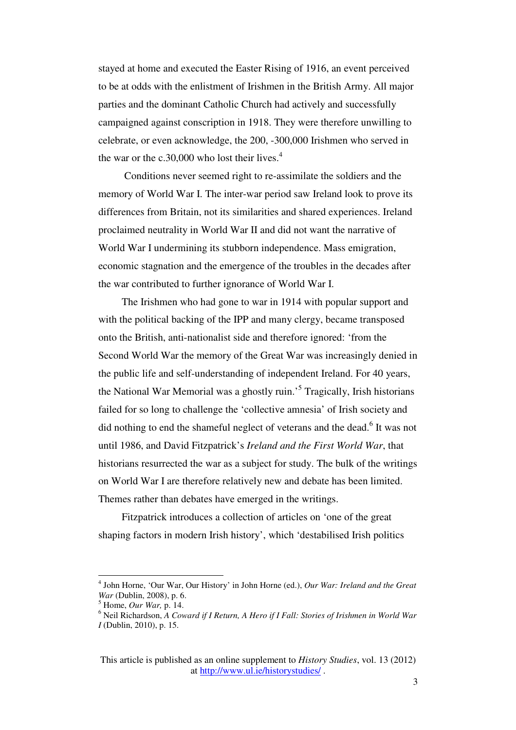stayed at home and executed the Easter Rising of 1916, an event perceived to be at odds with the enlistment of Irishmen in the British Army. All major parties and the dominant Catholic Church had actively and successfully campaigned against conscription in 1918. They were therefore unwilling to celebrate, or even acknowledge, the 200, -300,000 Irishmen who served in the war or the c.30,000 who lost their lives. $4$ 

 Conditions never seemed right to re-assimilate the soldiers and the memory of World War I. The inter-war period saw Ireland look to prove its differences from Britain, not its similarities and shared experiences. Ireland proclaimed neutrality in World War II and did not want the narrative of World War I undermining its stubborn independence. Mass emigration, economic stagnation and the emergence of the troubles in the decades after the war contributed to further ignorance of World War I.

The Irishmen who had gone to war in 1914 with popular support and with the political backing of the IPP and many clergy, became transposed onto the British, anti-nationalist side and therefore ignored: 'from the Second World War the memory of the Great War was increasingly denied in the public life and self-understanding of independent Ireland. For 40 years, the National War Memorial was a ghostly ruin.<sup>5</sup> Tragically, Irish historians failed for so long to challenge the 'collective amnesia' of Irish society and did nothing to end the shameful neglect of veterans and the dead.<sup>6</sup> It was not until 1986, and David Fitzpatrick's *Ireland and the First World War*, that historians resurrected the war as a subject for study. The bulk of the writings on World War I are therefore relatively new and debate has been limited. Themes rather than debates have emerged in the writings.

Fitzpatrick introduces a collection of articles on 'one of the great shaping factors in modern Irish history', which 'destabilised Irish politics

<sup>4</sup> John Horne, 'Our War, Our History' in John Horne (ed.), *Our War: Ireland and the Great War* (Dublin, 2008), p. 6.

<sup>5</sup> Home, *Our War,* p. 14.

<sup>6</sup> Neil Richardson, *A Coward if I Return, A Hero if I Fall: Stories of Irishmen in World War I* (Dublin, 2010), p. 15.

This article is published as an online supplement to *History Studies*, vol. 13 (2012) at http://www.ul.ie/historystudies/ .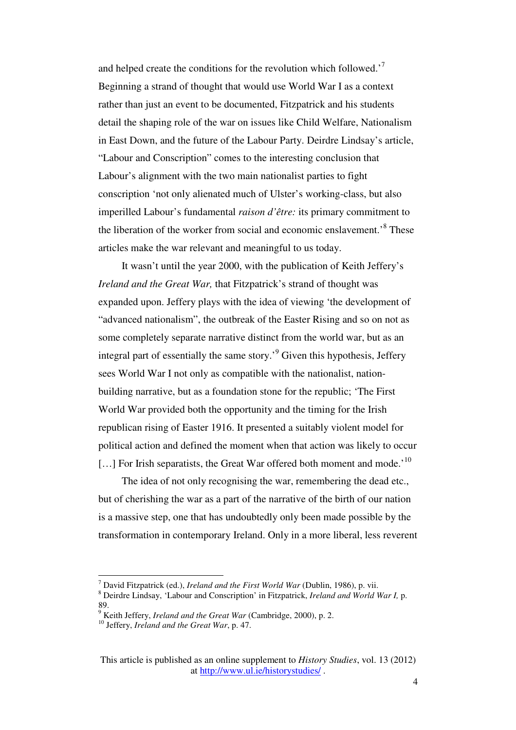and helped create the conditions for the revolution which followed.<sup>7</sup> Beginning a strand of thought that would use World War I as a context rather than just an event to be documented, Fitzpatrick and his students detail the shaping role of the war on issues like Child Welfare, Nationalism in East Down, and the future of the Labour Party. Deirdre Lindsay's article, "Labour and Conscription" comes to the interesting conclusion that Labour's alignment with the two main nationalist parties to fight conscription 'not only alienated much of Ulster's working-class, but also imperilled Labour's fundamental *raison d'être:* its primary commitment to the liberation of the worker from social and economic enslavement.<sup>8</sup> These articles make the war relevant and meaningful to us today.

It wasn't until the year 2000, with the publication of Keith Jeffery's *Ireland and the Great War,* that Fitzpatrick's strand of thought was expanded upon. Jeffery plays with the idea of viewing 'the development of "advanced nationalism", the outbreak of the Easter Rising and so on not as some completely separate narrative distinct from the world war, but as an integral part of essentially the same story.<sup>9</sup> Given this hypothesis, Jeffery sees World War I not only as compatible with the nationalist, nationbuilding narrative, but as a foundation stone for the republic; 'The First World War provided both the opportunity and the timing for the Irish republican rising of Easter 1916. It presented a suitably violent model for political action and defined the moment when that action was likely to occur [...] For Irish separatists, the Great War offered both moment and mode.<sup>'10</sup>

The idea of not only recognising the war, remembering the dead etc., but of cherishing the war as a part of the narrative of the birth of our nation is a massive step, one that has undoubtedly only been made possible by the transformation in contemporary Ireland. Only in a more liberal, less reverent

<sup>7</sup> David Fitzpatrick (ed.), *Ireland and the First World War* (Dublin, 1986), p. vii.

<sup>8</sup> Deirdre Lindsay, 'Labour and Conscription' in Fitzpatrick, *Ireland and World War I,* p. 89.

<sup>9</sup> Keith Jeffery, *Ireland and the Great War* (Cambridge, 2000), p. 2.

<sup>10</sup> Jeffery, *Ireland and the Great War*, p. 47.

This article is published as an online supplement to *History Studies*, vol. 13 (2012) at http://www.ul.ie/historystudies/ .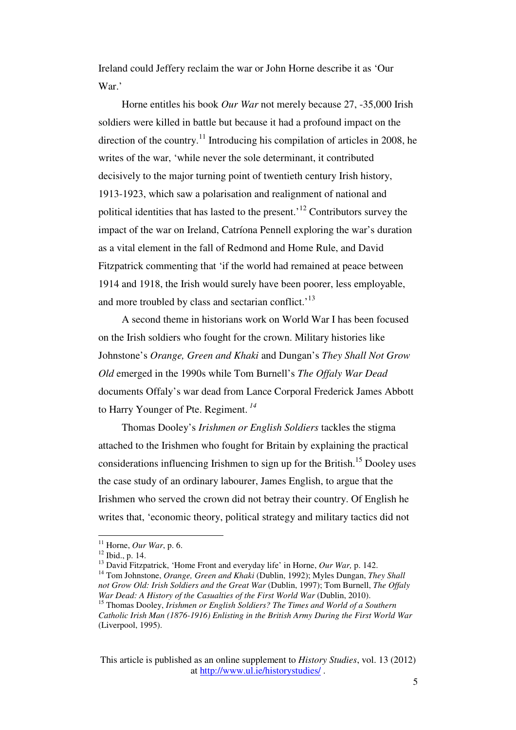Ireland could Jeffery reclaim the war or John Horne describe it as 'Our War.'

Horne entitles his book *Our War* not merely because 27, -35,000 Irish soldiers were killed in battle but because it had a profound impact on the direction of the country.<sup>11</sup> Introducing his compilation of articles in 2008, he writes of the war, 'while never the sole determinant, it contributed decisively to the major turning point of twentieth century Irish history, 1913-1923, which saw a polarisation and realignment of national and political identities that has lasted to the present.<sup> $12$ </sup> Contributors survey the impact of the war on Ireland, Catríona Pennell exploring the war's duration as a vital element in the fall of Redmond and Home Rule, and David Fitzpatrick commenting that 'if the world had remained at peace between 1914 and 1918, the Irish would surely have been poorer, less employable, and more troubled by class and sectarian conflict.<sup>13</sup>

A second theme in historians work on World War I has been focused on the Irish soldiers who fought for the crown. Military histories like Johnstone's *Orange, Green and Khaki* and Dungan's *They Shall Not Grow Old* emerged in the 1990s while Tom Burnell's *The Offaly War Dead* documents Offaly's war dead from Lance Corporal Frederick James Abbott to Harry Younger of Pte. Regiment.*<sup>14</sup>*

Thomas Dooley's *Irishmen or English Soldiers* tackles the stigma attached to the Irishmen who fought for Britain by explaining the practical considerations influencing Irishmen to sign up for the British.<sup>15</sup> Dooley uses the case study of an ordinary labourer, James English, to argue that the Irishmen who served the crown did not betray their country. Of English he writes that, 'economic theory, political strategy and military tactics did not

 $11$  Horne, *Our War*, p. 6.

<sup>12</sup> Ibid., p. 14.

<sup>&</sup>lt;sup>13</sup> David Fitzpatrick, 'Home Front and everyday life' in Horne, *Our War*, p. 142.

<sup>14</sup> Tom Johnstone, *Orange, Green and Khaki* (Dublin, 1992); Myles Dungan, *They Shall not Grow Old: Irish Soldiers and the Great War* (Dublin, 1997); Tom Burnell, *The Offaly War Dead: A History of the Casualties of the First World War (Dublin, 2010).* 

<sup>&</sup>lt;sup>15</sup> Thomas Dooley, *Irishmen or English Soldiers? The Times and World of a Southern Catholic Irish Man (1876-1916) Enlisting in the British Army During the First World War* (Liverpool, 1995).

This article is published as an online supplement to *History Studies*, vol. 13 (2012) at http://www.ul.ie/historystudies/ .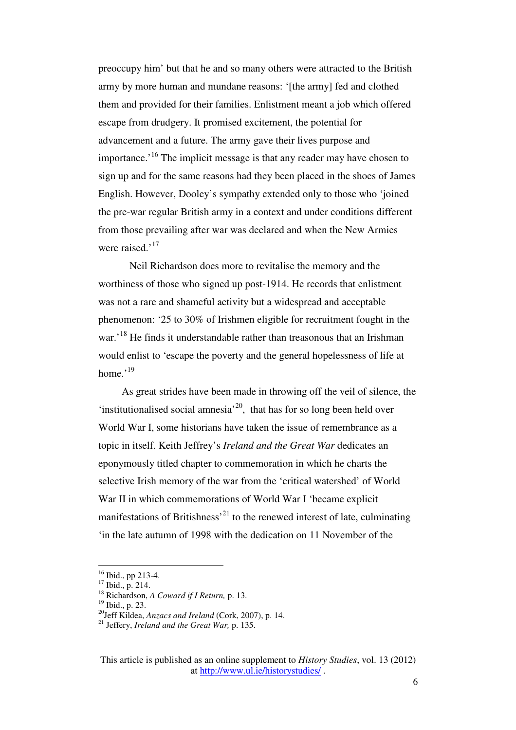preoccupy him' but that he and so many others were attracted to the British army by more human and mundane reasons: '[the army] fed and clothed them and provided for their families. Enlistment meant a job which offered escape from drudgery. It promised excitement, the potential for advancement and a future. The army gave their lives purpose and importance.<sup> $16$ </sup> The implicit message is that any reader may have chosen to sign up and for the same reasons had they been placed in the shoes of James English. However, Dooley's sympathy extended only to those who 'joined the pre-war regular British army in a context and under conditions different from those prevailing after war was declared and when the New Armies were raised.'<sup>17</sup>

 Neil Richardson does more to revitalise the memory and the worthiness of those who signed up post-1914. He records that enlistment was not a rare and shameful activity but a widespread and acceptable phenomenon: '25 to 30% of Irishmen eligible for recruitment fought in the war.<sup>18</sup> He finds it understandable rather than treasonous that an Irishman would enlist to 'escape the poverty and the general hopelessness of life at home. $^{,19}$ 

As great strides have been made in throwing off the veil of silence, the 'institutionalised social amnesia'<sup>20</sup>, that has for so long been held over World War I, some historians have taken the issue of remembrance as a topic in itself. Keith Jeffrey's *Ireland and the Great War* dedicates an eponymously titled chapter to commemoration in which he charts the selective Irish memory of the war from the 'critical watershed' of World War II in which commemorations of World War I 'became explicit manifestations of Britishness<sup> $21$ </sup> to the renewed interest of late, culminating 'in the late autumn of 1998 with the dedication on 11 November of the

<sup>&</sup>lt;sup>16</sup> Ibid., pp 213-4.

 $^{10101}$ ,  $^{10101}$ ,  $^{10101}$ ,  $^{10101}$ ,  $^{10101}$ ,  $^{10101}$ ,  $^{10101}$ 

<sup>18</sup> Richardson, *A Coward if I Return,* p. 13.

<sup>19</sup> Ibid., p. 23.

<sup>20</sup>Jeff Kildea, *Anzacs and Ireland* (Cork, 2007), p. 14.

<sup>21</sup> Jeffery, *Ireland and the Great War,* p. 135.

This article is published as an online supplement to *History Studies*, vol. 13 (2012) at http://www.ul.ie/historystudies/ .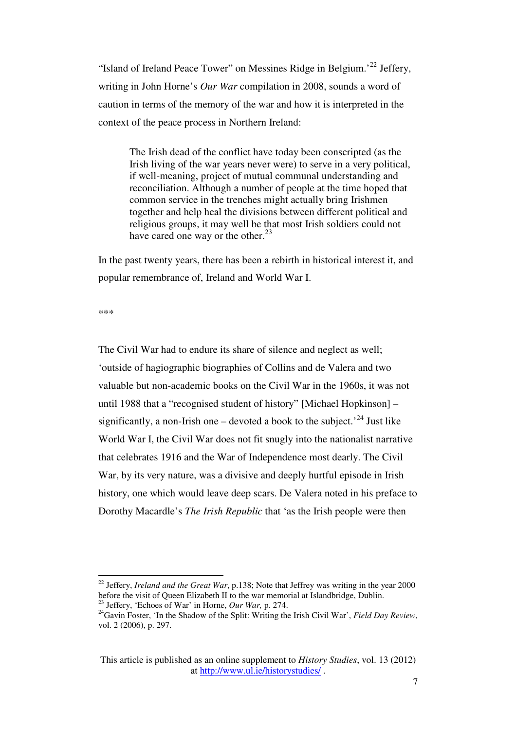"Island of Ireland Peace Tower" on Messines Ridge in Belgium.'<sup>22</sup> Jeffery, writing in John Horne's *Our War* compilation in 2008, sounds a word of caution in terms of the memory of the war and how it is interpreted in the context of the peace process in Northern Ireland:

The Irish dead of the conflict have today been conscripted (as the Irish living of the war years never were) to serve in a very political, if well-meaning, project of mutual communal understanding and reconciliation. Although a number of people at the time hoped that common service in the trenches might actually bring Irishmen together and help heal the divisions between different political and religious groups, it may well be that most Irish soldiers could not have cared one way or the other.<sup>23</sup>

In the past twenty years, there has been a rebirth in historical interest it, and popular remembrance of, Ireland and World War I.

\*\*\*

 $\overline{a}$ 

The Civil War had to endure its share of silence and neglect as well; 'outside of hagiographic biographies of Collins and de Valera and two valuable but non-academic books on the Civil War in the 1960s, it was not until 1988 that a "recognised student of history" [Michael Hopkinson] – significantly, a non-Irish one – devoted a book to the subject.<sup> $24$ </sup> Just like World War I, the Civil War does not fit snugly into the nationalist narrative that celebrates 1916 and the War of Independence most dearly. The Civil War, by its very nature, was a divisive and deeply hurtful episode in Irish history, one which would leave deep scars. De Valera noted in his preface to Dorothy Macardle's *The Irish Republic* that 'as the Irish people were then

<sup>&</sup>lt;sup>22</sup> Jeffery, *Ireland and the Great War*, p.138; Note that Jeffrey was writing in the year 2000 before the visit of Queen Elizabeth II to the war memorial at Islandbridge, Dublin. <sup>23</sup> Jeffery, 'Echoes of War' in Horne, *Our War,* p. 274.

<sup>&</sup>lt;sup>24</sup>Gavin Foster, 'In the Shadow of the Split: Writing the Irish Civil War', *Field Day Review*, vol. 2 (2006), p. 297.

This article is published as an online supplement to *History Studies*, vol. 13 (2012) at http://www.ul.ie/historystudies/ .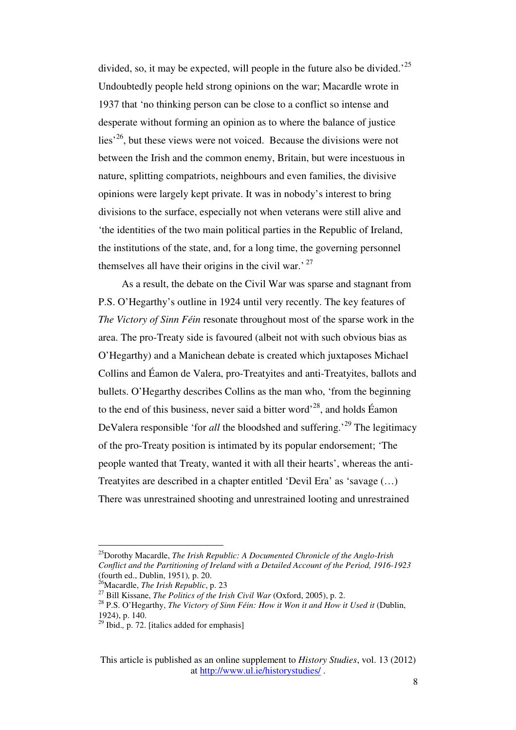divided, so, it may be expected, will people in the future also be divided.<sup>25</sup> Undoubtedly people held strong opinions on the war; Macardle wrote in 1937 that 'no thinking person can be close to a conflict so intense and desperate without forming an opinion as to where the balance of justice  $lies<sup>26</sup>$ , but these views were not voiced. Because the divisions were not between the Irish and the common enemy, Britain, but were incestuous in nature, splitting compatriots, neighbours and even families, the divisive opinions were largely kept private. It was in nobody's interest to bring divisions to the surface, especially not when veterans were still alive and 'the identities of the two main political parties in the Republic of Ireland, the institutions of the state, and, for a long time, the governing personnel themselves all have their origins in the civil war.<sup>27</sup>

As a result, the debate on the Civil War was sparse and stagnant from P.S. O'Hegarthy's outline in 1924 until very recently. The key features of *The Victory of Sinn Féin* resonate throughout most of the sparse work in the area. The pro-Treaty side is favoured (albeit not with such obvious bias as O'Hegarthy) and a Manichean debate is created which juxtaposes Michael Collins and Éamon de Valera, pro-Treatyites and anti-Treatyites, ballots and bullets. O'Hegarthy describes Collins as the man who, 'from the beginning to the end of this business, never said a bitter word<sup> $28$ </sup>, and holds Éamon DeValera responsible 'for *all* the bloodshed and suffering.<sup>29</sup> The legitimacy of the pro-Treaty position is intimated by its popular endorsement; 'The people wanted that Treaty, wanted it with all their hearts', whereas the anti-Treatyites are described in a chapter entitled 'Devil Era' as 'savage (…) There was unrestrained shooting and unrestrained looting and unrestrained

<sup>25</sup>Dorothy Macardle, *The Irish Republic: A Documented Chronicle of the Anglo-Irish Conflict and the Partitioning of Ireland with a Detailed Account of the Period, 1916-1923* (fourth ed., Dublin, 1951)*,* p. 20.

<sup>26</sup>Macardle, *The Irish Republic*, p. 23

<sup>27</sup> Bill Kissane, *The Politics of the Irish Civil War* (Oxford, 2005), p. 2.

<sup>28</sup> P.S. O'Hegarthy, *The Victory of Sinn Féin: How it Won it and How it Used it* (Dublin, 1924), p. 140.

<sup>29</sup> Ibid.*,* p. 72. [italics added for emphasis]

This article is published as an online supplement to *History Studies*, vol. 13 (2012) at http://www.ul.ie/historystudies/ .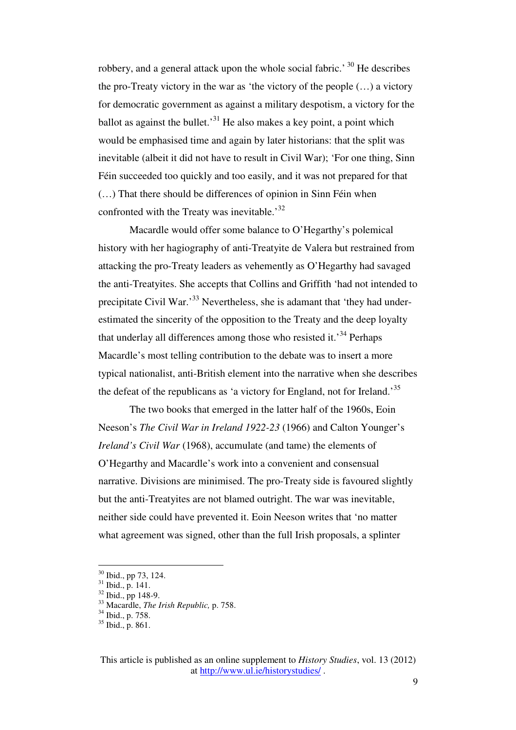robbery, and a general attack upon the whole social fabric.<sup>30</sup> He describes the pro-Treaty victory in the war as 'the victory of the people (…) a victory for democratic government as against a military despotism, a victory for the ballot as against the bullet.<sup>31</sup> He also makes a key point, a point which would be emphasised time and again by later historians: that the split was inevitable (albeit it did not have to result in Civil War); 'For one thing, Sinn Féin succeeded too quickly and too easily, and it was not prepared for that (…) That there should be differences of opinion in Sinn Féin when confronted with the Treaty was inevitable.<sup>32</sup>

 Macardle would offer some balance to O'Hegarthy's polemical history with her hagiography of anti-Treatyite de Valera but restrained from attacking the pro-Treaty leaders as vehemently as O'Hegarthy had savaged the anti-Treatyites. She accepts that Collins and Griffith 'had not intended to precipitate Civil War.'<sup>33</sup> Nevertheless, she is adamant that 'they had underestimated the sincerity of the opposition to the Treaty and the deep loyalty that underlay all differences among those who resisted it.<sup>34</sup> Perhaps Macardle's most telling contribution to the debate was to insert a more typical nationalist, anti-British element into the narrative when she describes the defeat of the republicans as 'a victory for England, not for Ireland.<sup>35</sup>

 The two books that emerged in the latter half of the 1960s, Eoin Neeson's *The Civil War in Ireland 1922-23* (1966) and Calton Younger's *Ireland's Civil War* (1968), accumulate (and tame) the elements of O'Hegarthy and Macardle's work into a convenient and consensual narrative. Divisions are minimised. The pro-Treaty side is favoured slightly but the anti-Treatyites are not blamed outright. The war was inevitable, neither side could have prevented it. Eoin Neeson writes that 'no matter what agreement was signed, other than the full Irish proposals, a splinter

 $30$  Ibid., pp 73, 124.

 $31$  Ibid., p. 141.

<sup>32</sup> Ibid., pp 148-9.

<sup>33</sup> Macardle, *The Irish Republic,* p. 758.

<sup>&</sup>lt;sup>34</sup> Ibid., p. 758.

 $35$  Ibid., p. 861.

This article is published as an online supplement to *History Studies*, vol. 13 (2012) at http://www.ul.ie/historystudies/ .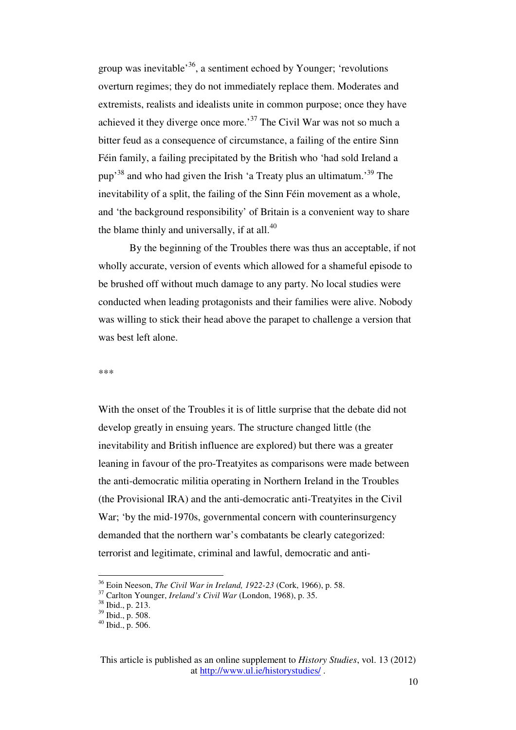group was inevitable<sup>36</sup>, a sentiment echoed by Younger; 'revolutions' overturn regimes; they do not immediately replace them. Moderates and extremists, realists and idealists unite in common purpose; once they have achieved it they diverge once more.'<sup>37</sup> The Civil War was not so much a bitter feud as a consequence of circumstance, a failing of the entire Sinn Féin family, a failing precipitated by the British who 'had sold Ireland a pup<sup>38</sup> and who had given the Irish 'a Treaty plus an ultimatum.<sup>39</sup> The inevitability of a split, the failing of the Sinn Féin movement as a whole, and 'the background responsibility' of Britain is a convenient way to share the blame thinly and universally, if at all. $40$ 

 By the beginning of the Troubles there was thus an acceptable, if not wholly accurate, version of events which allowed for a shameful episode to be brushed off without much damage to any party. No local studies were conducted when leading protagonists and their families were alive. Nobody was willing to stick their head above the parapet to challenge a version that was best left alone.

## \*\*\*

With the onset of the Troubles it is of little surprise that the debate did not develop greatly in ensuing years. The structure changed little (the inevitability and British influence are explored) but there was a greater leaning in favour of the pro-Treatyites as comparisons were made between the anti-democratic militia operating in Northern Ireland in the Troubles (the Provisional IRA) and the anti-democratic anti-Treatyites in the Civil War; 'by the mid-1970s, governmental concern with counterinsurgency demanded that the northern war's combatants be clearly categorized: terrorist and legitimate, criminal and lawful, democratic and anti-

<sup>36</sup> Eoin Neeson, *The Civil War in Ireland, 1922-23* (Cork, 1966), p. 58.

<sup>37</sup> Carlton Younger, *Ireland's Civil War* (London, 1968), p. 35.

<sup>38</sup> Ibid., p. 213.

 $39$  Ibid., p. 508.

 $40$  Ibid., p. 506.

This article is published as an online supplement to *History Studies*, vol. 13 (2012) at http://www.ul.ie/historystudies/ .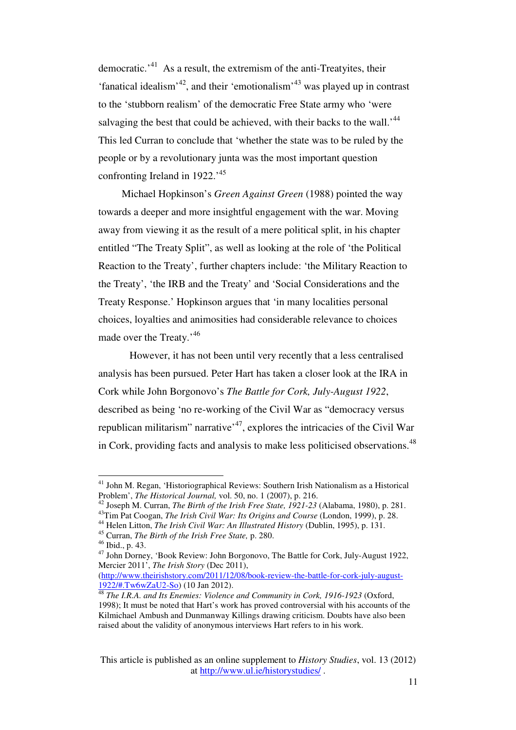democratic.'<sup>41</sup> As a result, the extremism of the anti-Treatyites, their 'fanatical idealism'<sup>42</sup>, and their 'emotionalism'<sup>43</sup> was played up in contrast to the 'stubborn realism' of the democratic Free State army who 'were salvaging the best that could be achieved, with their backs to the wall.<sup>'44</sup> This led Curran to conclude that 'whether the state was to be ruled by the people or by a revolutionary junta was the most important question confronting Ireland in 1922.<sup>45</sup>

Michael Hopkinson's *Green Against Green* (1988) pointed the way towards a deeper and more insightful engagement with the war. Moving away from viewing it as the result of a mere political split, in his chapter entitled "The Treaty Split", as well as looking at the role of 'the Political Reaction to the Treaty', further chapters include: 'the Military Reaction to the Treaty', 'the IRB and the Treaty' and 'Social Considerations and the Treaty Response.' Hopkinson argues that 'in many localities personal choices, loyalties and animosities had considerable relevance to choices made over the Treaty.<sup>'46</sup>

 However, it has not been until very recently that a less centralised analysis has been pursued. Peter Hart has taken a closer look at the IRA in Cork while John Borgonovo's *The Battle for Cork, July-August 1922*, described as being 'no re-working of the Civil War as "democracy versus republican militarism" narrative<sup> $47$ </sup>, explores the intricacies of the Civil War in Cork, providing facts and analysis to make less politicised observations.<sup>48</sup>

<sup>&</sup>lt;sup>41</sup> John M. Regan, 'Historiographical Reviews: Southern Irish Nationalism as a Historical Problem', *The Historical Journal,* vol. 50, no. 1 (2007), p. 216.

<sup>42</sup> Joseph M. Curran, *The Birth of the Irish Free State, 1921-23* (Alabama, 1980), p. 281.

<sup>43</sup>Tim Pat Coogan, *The Irish Civil War: Its Origins and Course* (London, 1999), p. 28.

<sup>44</sup> Helen Litton, *The Irish Civil War: An Illustrated History* (Dublin, 1995), p. 131.

<sup>45</sup> Curran, *The Birth of the Irish Free State,* p. 280.

<sup>46</sup> Ibid., p. 43.

<sup>47</sup> John Dorney, 'Book Review: John Borgonovo, The Battle for Cork, July-August 1922, Mercier 2011', *The Irish Story* (Dec 2011),

<sup>(</sup>http://www.theirishstory.com/2011/12/08/book-review-the-battle-for-cork-july-august-1922/#.Tw6wZaU2-So) (10 Jan 2012).

<sup>48</sup> *The I.R.A. and Its Enemies: Violence and Community in Cork, 1916-1923* (Oxford, 1998); It must be noted that Hart's work has proved controversial with his accounts of the Kilmichael Ambush and Dunmanway Killings drawing criticism. Doubts have also been raised about the validity of anonymous interviews Hart refers to in his work.

This article is published as an online supplement to *History Studies*, vol. 13 (2012) at http://www.ul.ie/historystudies/ .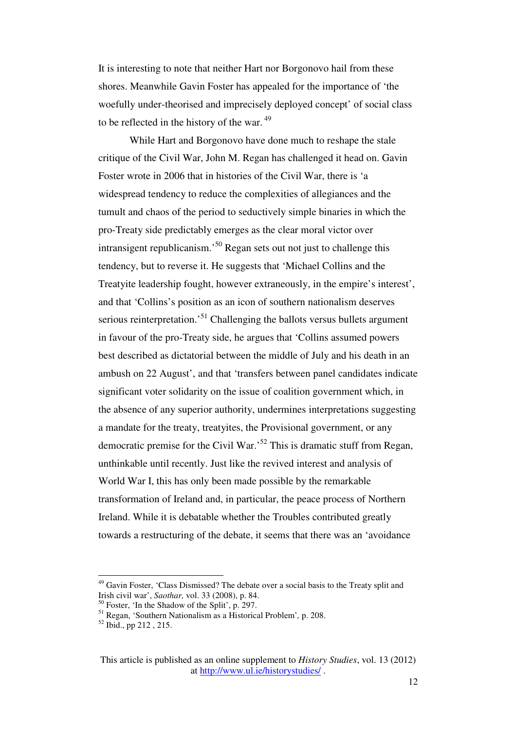It is interesting to note that neither Hart nor Borgonovo hail from these shores. Meanwhile Gavin Foster has appealed for the importance of 'the woefully under-theorised and imprecisely deployed concept' of social class to be reflected in the history of the war.  $49$ 

 While Hart and Borgonovo have done much to reshape the stale critique of the Civil War, John M. Regan has challenged it head on. Gavin Foster wrote in 2006 that in histories of the Civil War, there is 'a widespread tendency to reduce the complexities of allegiances and the tumult and chaos of the period to seductively simple binaries in which the pro-Treaty side predictably emerges as the clear moral victor over intransigent republicanism.<sup>50</sup> Regan sets out not just to challenge this tendency, but to reverse it. He suggests that 'Michael Collins and the Treatyite leadership fought, however extraneously, in the empire's interest', and that 'Collins's position as an icon of southern nationalism deserves serious reinterpretation.<sup>51</sup> Challenging the ballots versus bullets argument in favour of the pro-Treaty side, he argues that 'Collins assumed powers best described as dictatorial between the middle of July and his death in an ambush on 22 August', and that 'transfers between panel candidates indicate significant voter solidarity on the issue of coalition government which, in the absence of any superior authority, undermines interpretations suggesting a mandate for the treaty, treatyites, the Provisional government, or any democratic premise for the Civil War.<sup>52</sup> This is dramatic stuff from Regan, unthinkable until recently. Just like the revived interest and analysis of World War I, this has only been made possible by the remarkable transformation of Ireland and, in particular, the peace process of Northern Ireland. While it is debatable whether the Troubles contributed greatly towards a restructuring of the debate, it seems that there was an 'avoidance

<sup>&</sup>lt;sup>49</sup> Gavin Foster, 'Class Dismissed? The debate over a social basis to the Treaty split and Irish civil war', *Saothar,* vol. 33 (2008), p. 84.

<sup>50</sup> Foster, 'In the Shadow of the Split', p. 297.

<sup>51</sup> Regan, 'Southern Nationalism as a Historical Problem'*,* p. 208.

 $52$  Ibid., pp 212, 215.

This article is published as an online supplement to *History Studies*, vol. 13 (2012) at http://www.ul.ie/historystudies/ .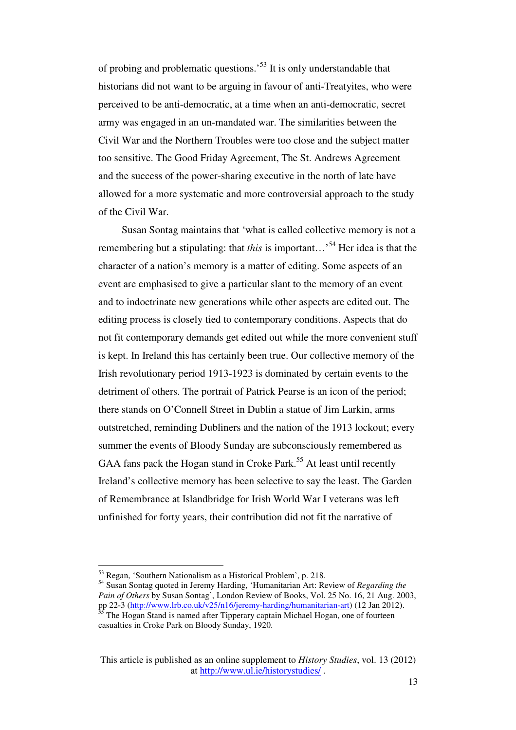of probing and problematic questions.'<sup>53</sup> It is only understandable that historians did not want to be arguing in favour of anti-Treatyites, who were perceived to be anti-democratic, at a time when an anti-democratic, secret army was engaged in an un-mandated war. The similarities between the Civil War and the Northern Troubles were too close and the subject matter too sensitive. The Good Friday Agreement, The St. Andrews Agreement and the success of the power-sharing executive in the north of late have allowed for a more systematic and more controversial approach to the study of the Civil War.

Susan Sontag maintains that 'what is called collective memory is not a remembering but a stipulating: that *this* is important...<sup>54</sup> Her idea is that the character of a nation's memory is a matter of editing. Some aspects of an event are emphasised to give a particular slant to the memory of an event and to indoctrinate new generations while other aspects are edited out. The editing process is closely tied to contemporary conditions. Aspects that do not fit contemporary demands get edited out while the more convenient stuff is kept. In Ireland this has certainly been true. Our collective memory of the Irish revolutionary period 1913-1923 is dominated by certain events to the detriment of others. The portrait of Patrick Pearse is an icon of the period; there stands on O'Connell Street in Dublin a statue of Jim Larkin, arms outstretched, reminding Dubliners and the nation of the 1913 lockout; every summer the events of Bloody Sunday are subconsciously remembered as GAA fans pack the Hogan stand in Croke Park.<sup>55</sup> At least until recently Ireland's collective memory has been selective to say the least. The Garden of Remembrance at Islandbridge for Irish World War I veterans was left unfinished for forty years, their contribution did not fit the narrative of

<sup>&</sup>lt;sup>53</sup> Regan, 'Southern Nationalism as a Historical Problem', p. 218.

<sup>54</sup> Susan Sontag quoted in Jeremy Harding, 'Humanitarian Art: Review of *Regarding the Pain of Others* by Susan Sontag', London Review of Books, Vol. 25 No. 16, 21 Aug. 2003, pp 22-3 (http://www.lrb.co.uk/v25/n16/jeremy-harding/humanitarian-art) (12 Jan 2012).

The Hogan Stand is named after Tipperary captain Michael Hogan, one of fourteen casualties in Croke Park on Bloody Sunday, 1920.

This article is published as an online supplement to *History Studies*, vol. 13 (2012) at http://www.ul.ie/historystudies/ .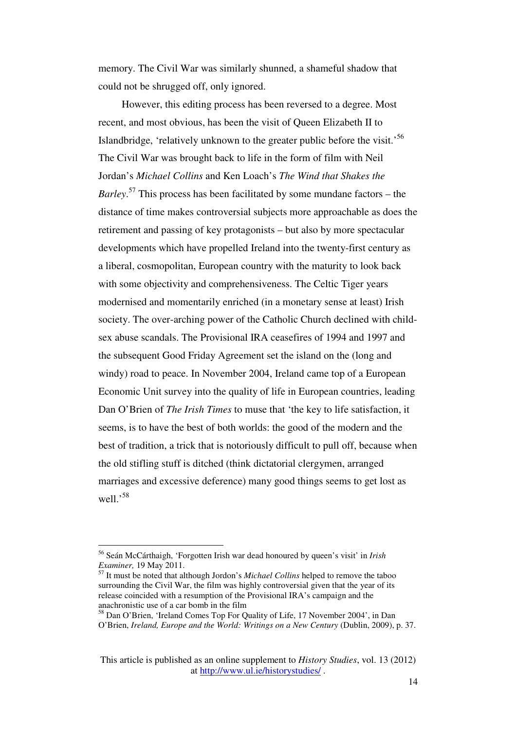memory. The Civil War was similarly shunned, a shameful shadow that could not be shrugged off, only ignored.

However, this editing process has been reversed to a degree. Most recent, and most obvious, has been the visit of Queen Elizabeth II to Islandbridge, 'relatively unknown to the greater public before the visit.<sup>56</sup> The Civil War was brought back to life in the form of film with Neil Jordan's *Michael Collins* and Ken Loach's *The Wind that Shakes the Barley*. <sup>57</sup> This process has been facilitated by some mundane factors – the distance of time makes controversial subjects more approachable as does the retirement and passing of key protagonists – but also by more spectacular developments which have propelled Ireland into the twenty-first century as a liberal, cosmopolitan, European country with the maturity to look back with some objectivity and comprehensiveness. The Celtic Tiger years modernised and momentarily enriched (in a monetary sense at least) Irish society. The over-arching power of the Catholic Church declined with childsex abuse scandals. The Provisional IRA ceasefires of 1994 and 1997 and the subsequent Good Friday Agreement set the island on the (long and windy) road to peace. In November 2004, Ireland came top of a European Economic Unit survey into the quality of life in European countries, leading Dan O'Brien of *The Irish Times* to muse that 'the key to life satisfaction, it seems, is to have the best of both worlds: the good of the modern and the best of tradition, a trick that is notoriously difficult to pull off, because when the old stifling stuff is ditched (think dictatorial clergymen, arranged marriages and excessive deference) many good things seems to get lost as well.'<sup>58</sup>

<sup>56</sup> Seán McCárthaigh, 'Forgotten Irish war dead honoured by queen's visit' in *Irish Examiner,* 19 May 2011.

<sup>57</sup> It must be noted that although Jordon's *Michael Collins* helped to remove the taboo surrounding the Civil War, the film was highly controversial given that the year of its release coincided with a resumption of the Provisional IRA's campaign and the anachronistic use of a car bomb in the film

<sup>58</sup> Dan O'Brien, 'Ireland Comes Top For Quality of Life, 17 November 2004', in Dan O'Brien, *Ireland, Europe and the World: Writings on a New Century* (Dublin, 2009), p. 37.

This article is published as an online supplement to *History Studies*, vol. 13 (2012) at http://www.ul.ie/historystudies/ .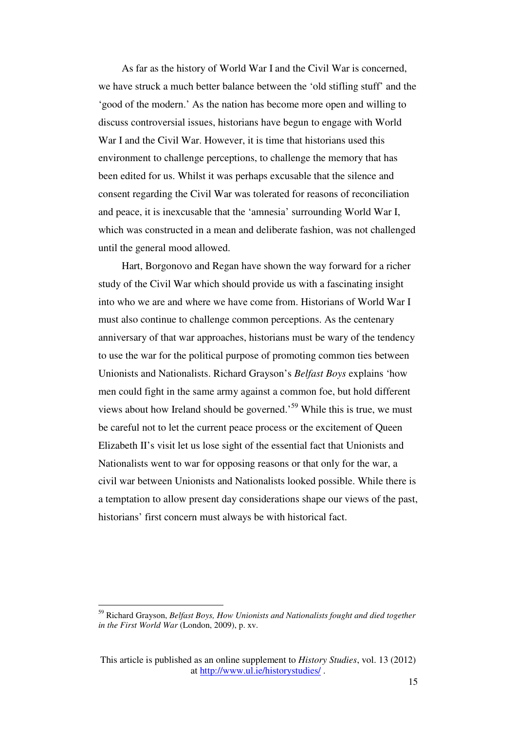As far as the history of World War I and the Civil War is concerned, we have struck a much better balance between the 'old stifling stuff' and the 'good of the modern.' As the nation has become more open and willing to discuss controversial issues, historians have begun to engage with World War I and the Civil War. However, it is time that historians used this environment to challenge perceptions, to challenge the memory that has been edited for us. Whilst it was perhaps excusable that the silence and consent regarding the Civil War was tolerated for reasons of reconciliation and peace, it is inexcusable that the 'amnesia' surrounding World War I, which was constructed in a mean and deliberate fashion, was not challenged until the general mood allowed.

Hart, Borgonovo and Regan have shown the way forward for a richer study of the Civil War which should provide us with a fascinating insight into who we are and where we have come from. Historians of World War I must also continue to challenge common perceptions. As the centenary anniversary of that war approaches, historians must be wary of the tendency to use the war for the political purpose of promoting common ties between Unionists and Nationalists. Richard Grayson's *Belfast Boys* explains 'how men could fight in the same army against a common foe, but hold different views about how Ireland should be governed.<sup>59</sup> While this is true, we must be careful not to let the current peace process or the excitement of Queen Elizabeth II's visit let us lose sight of the essential fact that Unionists and Nationalists went to war for opposing reasons or that only for the war, a civil war between Unionists and Nationalists looked possible. While there is a temptation to allow present day considerations shape our views of the past, historians' first concern must always be with historical fact.

<sup>59</sup> Richard Grayson, *Belfast Boys, How Unionists and Nationalists fought and died together in the First World War* (London, 2009), p. xv.

This article is published as an online supplement to *History Studies*, vol. 13 (2012) at http://www.ul.ie/historystudies/ .